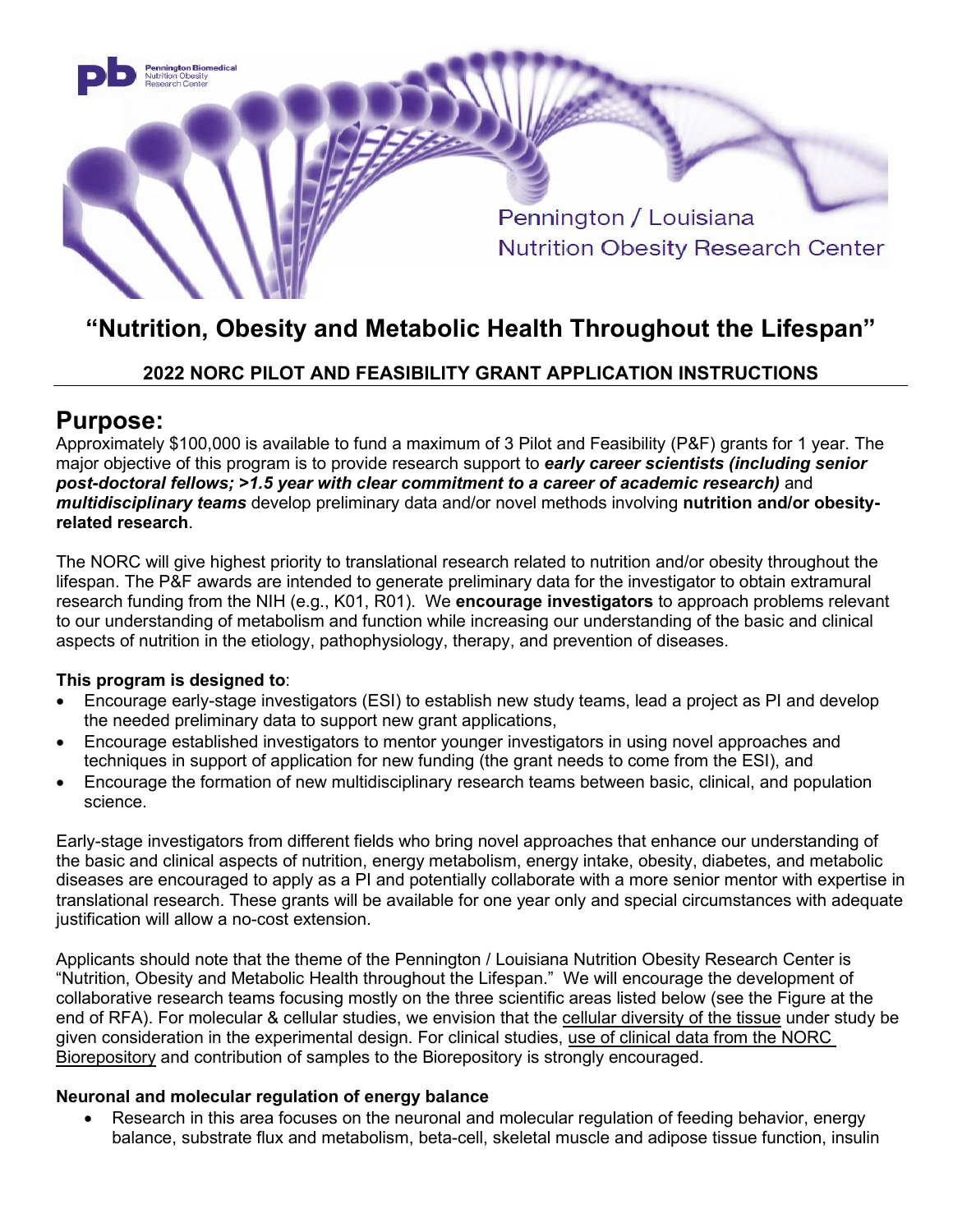

# **"Nutrition, Obesity and Metabolic Health Throughout the Lifespan"**

# **2022 NORC PILOT AND FEASIBILITY GRANT APPLICATION INSTRUCTIONS**

# **Purpose:**

Approximately \$100,000 is available to fund a maximum of 3 Pilot and Feasibility (P&F) grants for 1 year. The major objective of this program is to provide research support to *early career scientists (including senior post-doctoral fellows; >1.5 year with clear commitment to a career of academic research)* and *multidisciplinary teams* develop preliminary data and/or novel methods involving **nutrition and/or obesityrelated research**.

The NORC will give highest priority to translational research related to nutrition and/or obesity throughout the lifespan. The P&F awards are intended to generate preliminary data for the investigator to obtain extramural research funding from the NIH (e.g., K01, R01). We **encourage investigators** to approach problems relevant to our understanding of metabolism and function while increasing our understanding of the basic and clinical aspects of nutrition in the etiology, pathophysiology, therapy, and prevention of diseases.

#### **This program is designed to**:

- Encourage early-stage investigators (ESI) to establish new study teams, lead a project as PI and develop the needed preliminary data to support new grant applications,
- Encourage established investigators to mentor younger investigators in using novel approaches and techniques in support of application for new funding (the grant needs to come from the ESI), and
- Encourage the formation of new multidisciplinary research teams between basic, clinical, and population science.

Early-stage investigators from different fields who bring novel approaches that enhance our understanding of the basic and clinical aspects of nutrition, energy metabolism, energy intake, obesity, diabetes, and metabolic diseases are encouraged to apply as a PI and potentially collaborate with a more senior mentor with expertise in translational research. These grants will be available for one year only and special circumstances with adequate justification will allow a no-cost extension.

Applicants should note that the theme of the Pennington / Louisiana Nutrition Obesity Research Center is "Nutrition, Obesity and Metabolic Health throughout the Lifespan." We will encourage the development of collaborative research teams focusing mostly on the three scientific areas listed below (see the Figure at the end of RFA). For molecular & cellular studies, we envision that the cellular diversity of the tissue under study be given consideration in the experimental design. For clinical studies, use of clinical data from the NORC Biorepository and contribution of samples to the Biorepository is strongly encouraged.

#### **Neuronal and molecular regulation of energy balance**

• Research in this area focuses on the neuronal and molecular regulation of feeding behavior, energy balance, substrate flux and metabolism, beta-cell, skeletal muscle and adipose tissue function, insulin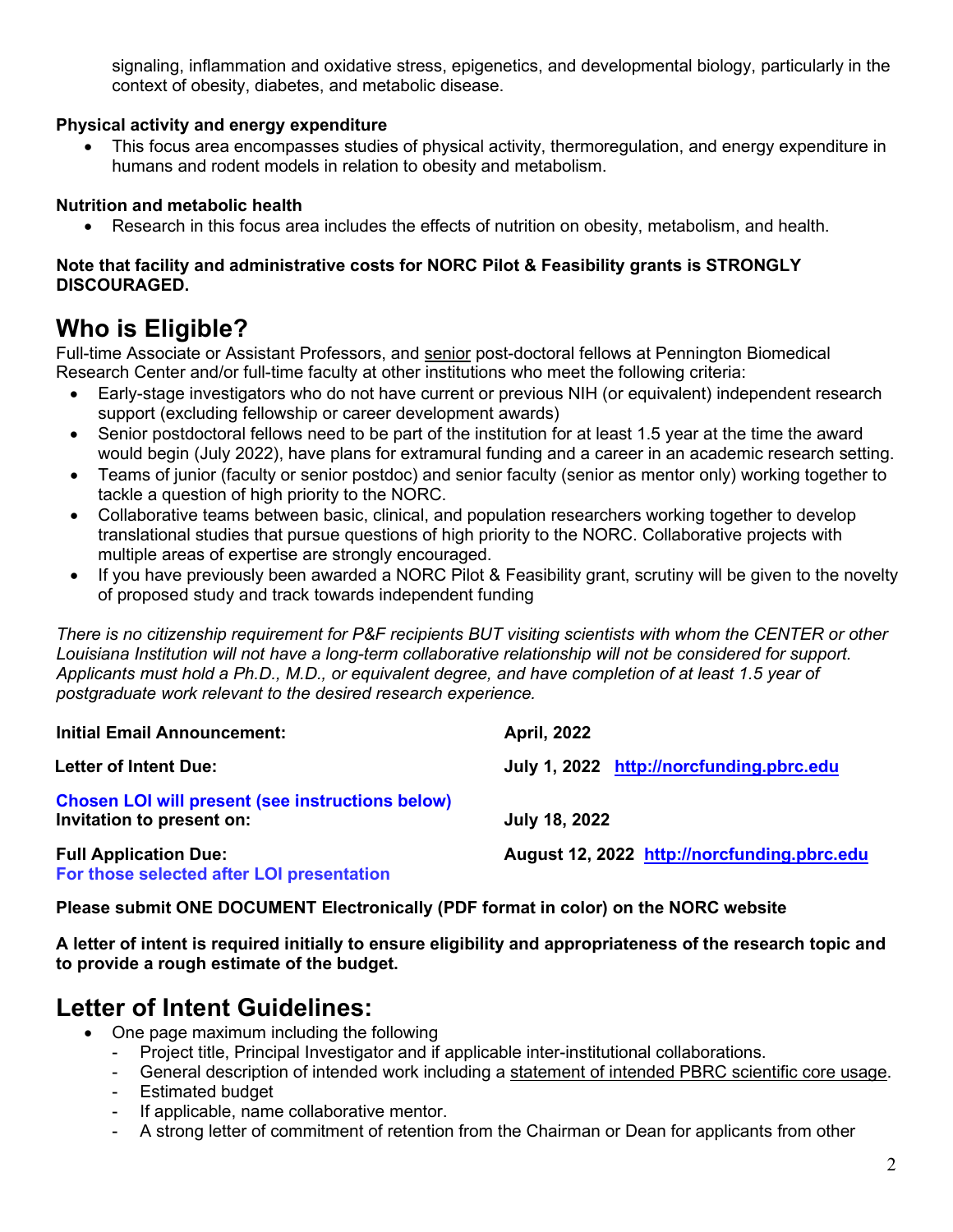signaling, inflammation and oxidative stress, epigenetics, and developmental biology, particularly in the context of obesity, diabetes, and metabolic disease.

### **Physical activity and energy expenditure**

• This focus area encompasses studies of physical activity, thermoregulation, and energy expenditure in humans and rodent models in relation to obesity and metabolism.

### **Nutrition and metabolic health**

• Research in this focus area includes the effects of nutrition on obesity, metabolism, and health.

### **Note that facility and administrative costs for NORC Pilot & Feasibility grants is STRONGLY DISCOURAGED.**

# **Who is Eligible?**

Full-time Associate or Assistant Professors, and senior post-doctoral fellows at Pennington Biomedical Research Center and/or full-time faculty at other institutions who meet the following criteria:

- Early-stage investigators who do not have current or previous NIH (or equivalent) independent research support (excluding fellowship or career development awards)
- Senior postdoctoral fellows need to be part of the institution for at least 1.5 year at the time the award would begin (July 2022), have plans for extramural funding and a career in an academic research setting.
- Teams of junior (faculty or senior postdoc) and senior faculty (senior as mentor only) working together to tackle a question of high priority to the NORC.
- Collaborative teams between basic, clinical, and population researchers working together to develop translational studies that pursue questions of high priority to the NORC. Collaborative projects with multiple areas of expertise are strongly encouraged.
- If you have previously been awarded a NORC Pilot & Feasibility grant, scrutiny will be given to the novelty of proposed study and track towards independent funding

*There is no citizenship requirement for P&F recipients BUT visiting scientists with whom the CENTER or other Louisiana Institution will not have a long-term collaborative relationship will not be considered for support. Applicants must hold a Ph.D., M.D., or equivalent degree, and have completion of at least 1.5 year of postgraduate work relevant to the desired research experience.*

| <b>Initial Email Announcement:</b>                                                   | <b>April, 2022</b>                          |
|--------------------------------------------------------------------------------------|---------------------------------------------|
| <b>Letter of Intent Due:</b>                                                         | July 1, 2022 http://norcfunding.pbrc.edu    |
| <b>Chosen LOI will present (see instructions below)</b><br>Invitation to present on: | July 18, 2022                               |
| <b>Full Application Due:</b><br>For those selected after LOI presentation            | August 12, 2022 http://norcfunding.pbrc.edu |

**Please submit ONE DOCUMENT Electronically (PDF format in color) on the NORC website**

**A letter of intent is required initially to ensure eligibility and appropriateness of the research topic and to provide a rough estimate of the budget.** 

# **Letter of Intent Guidelines:**

- One page maximum including the following
	- Project title, Principal Investigator and if applicable inter-institutional collaborations.
	- General description of intended work including a statement of intended PBRC scientific core usage.
	- Estimated budget
	- If applicable, name collaborative mentor.
	- A strong letter of commitment of retention from the Chairman or Dean for applicants from other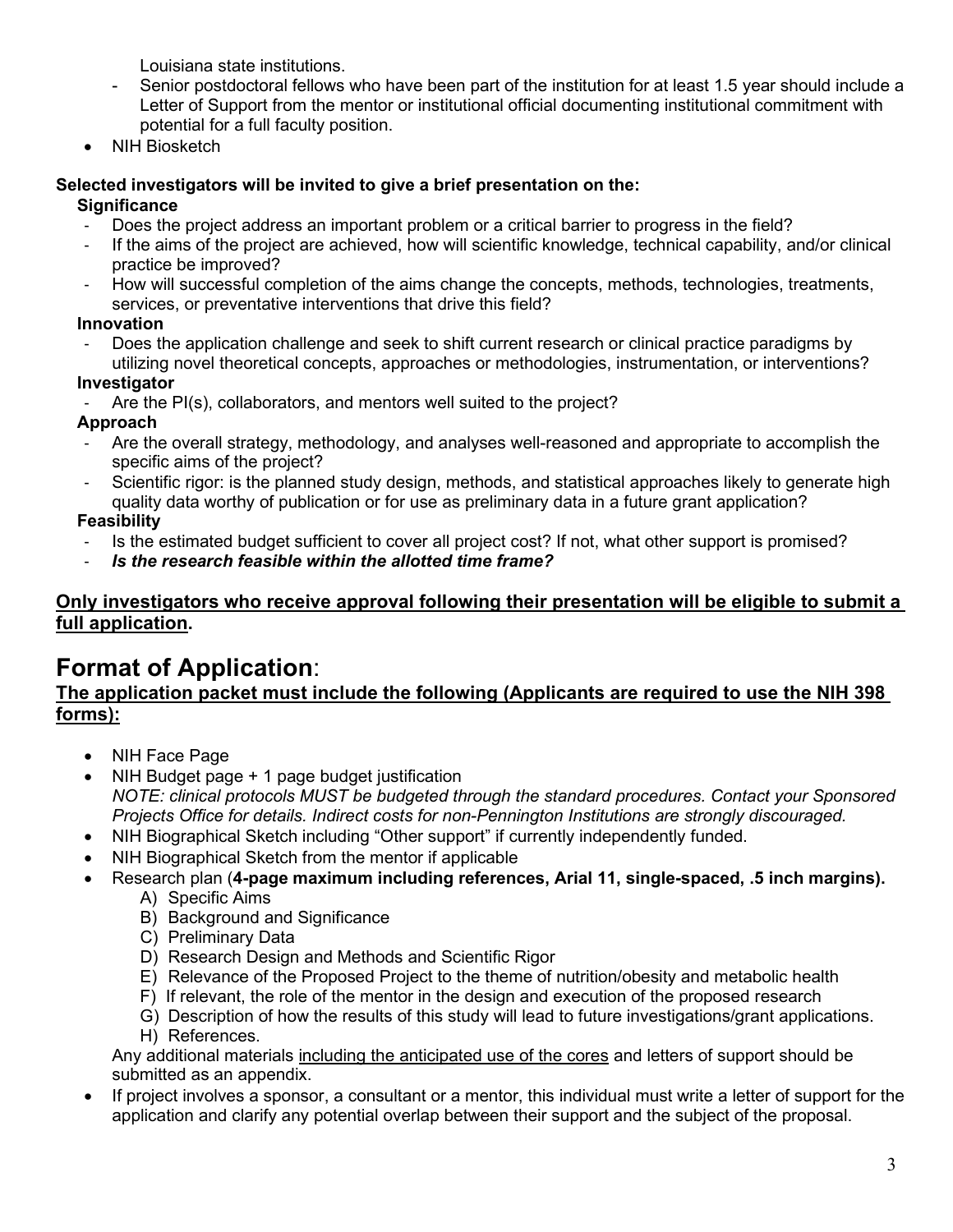Louisiana state institutions.

- Senior postdoctoral fellows who have been part of the institution for at least 1.5 year should include a Letter of Support from the mentor or institutional official documenting institutional commitment with potential for a full faculty position.
- NIH Biosketch

### **Selected investigators will be invited to give a brief presentation on the:**

## **Significance**

- Does the project address an important problem or a critical barrier to progress in the field?
- If the aims of the project are achieved, how will scientific knowledge, technical capability, and/or clinical practice be improved?
- How will successful completion of the aims change the concepts, methods, technologies, treatments, services, or preventative interventions that drive this field?

## **Innovation**

Does the application challenge and seek to shift current research or clinical practice paradigms by utilizing novel theoretical concepts, approaches or methodologies, instrumentation, or interventions?

## **Investigator**

Are the PI(s), collaborators, and mentors well suited to the project?

# **Approach**

- Are the overall strategy, methodology, and analyses well-reasoned and appropriate to accomplish the specific aims of the project?
- Scientific rigor: is the planned study design, methods, and statistical approaches likely to generate high quality data worthy of publication or for use as preliminary data in a future grant application?

# **Feasibility**

- Is the estimated budget sufficient to cover all project cost? If not, what other support is promised?<br>- Is the research feasible within the allotted time frame?
- *Is the research feasible within the allotted time frame?*

# **Only investigators who receive approval following their presentation will be eligible to submit a full application.**

# **Format of Application**:

## **The application packet must include the following (Applicants are required to use the NIH 398 forms):**

- NIH Face Page
- NIH Budget page + 1 page budget justification *NOTE: clinical protocols MUST be budgeted through the standard procedures. Contact your Sponsored Projects Office for details. Indirect costs for non-Pennington Institutions are strongly discouraged.*
- NIH Biographical Sketch including "Other support" if currently independently funded.
- NIH Biographical Sketch from the mentor if applicable
- Research plan (**4-page maximum including references, Arial 11, single-spaced, .5 inch margins).**
	- A) Specific Aims
	- B) Background and Significance
	- C) Preliminary Data
	- D) Research Design and Methods and Scientific Rigor
	- E) Relevance of the Proposed Project to the theme of nutrition/obesity and metabolic health
	- F) If relevant, the role of the mentor in the design and execution of the proposed research
	- G) Description of how the results of this study will lead to future investigations/grant applications.
	- H) References.

Any additional materials including the anticipated use of the cores and letters of support should be submitted as an appendix.

• If project involves a sponsor, a consultant or a mentor, this individual must write a letter of support for the application and clarify any potential overlap between their support and the subject of the proposal.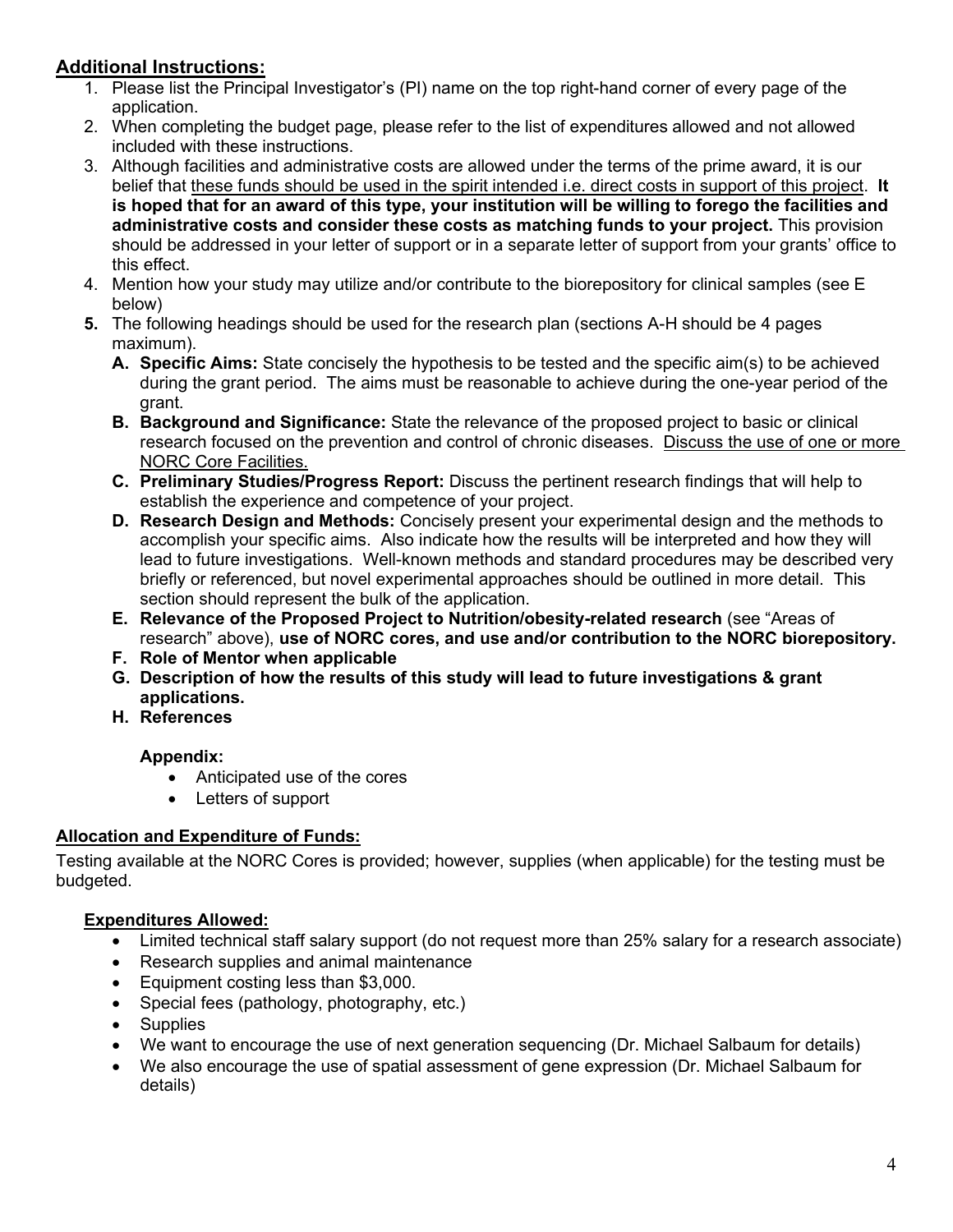# **Additional Instructions:**

- 1. Please list the Principal Investigator's (PI) name on the top right-hand corner of every page of the application.
- 2. When completing the budget page, please refer to the list of expenditures allowed and not allowed included with these instructions.
- 3. Although facilities and administrative costs are allowed under the terms of the prime award, it is our belief that these funds should be used in the spirit intended i.e. direct costs in support of this project. **It is hoped that for an award of this type, your institution will be willing to forego the facilities and administrative costs and consider these costs as matching funds to your project.** This provision should be addressed in your letter of support or in a separate letter of support from your grants' office to this effect.
- 4. Mention how your study may utilize and/or contribute to the biorepository for clinical samples (see E below)
- **5.** The following headings should be used for the research plan (sections A-H should be 4 pages maximum).
	- **A. Specific Aims:** State concisely the hypothesis to be tested and the specific aim(s) to be achieved during the grant period. The aims must be reasonable to achieve during the one-year period of the grant.
	- **B. Background and Significance:** State the relevance of the proposed project to basic or clinical research focused on the prevention and control of chronic diseases. Discuss the use of one or more NORC Core Facilities.
	- **C. Preliminary Studies/Progress Report:** Discuss the pertinent research findings that will help to establish the experience and competence of your project.
	- **D. Research Design and Methods:** Concisely present your experimental design and the methods to accomplish your specific aims. Also indicate how the results will be interpreted and how they will lead to future investigations. Well-known methods and standard procedures may be described very briefly or referenced, but novel experimental approaches should be outlined in more detail. This section should represent the bulk of the application.
	- **E. Relevance of the Proposed Project to Nutrition/obesity-related research** (see "Areas of research" above), **use of NORC cores, and use and/or contribution to the NORC biorepository.**
	- **F. Role of Mentor when applicable**
	- **G. Description of how the results of this study will lead to future investigations & grant applications.**
	- **H. References**

## **Appendix:**

- Anticipated use of the cores
- Letters of support

## **Allocation and Expenditure of Funds:**

Testing available at the NORC Cores is provided; however, supplies (when applicable) for the testing must be budgeted.

## **Expenditures Allowed:**

- Limited technical staff salary support (do not request more than 25% salary for a research associate)
- Research supplies and animal maintenance
- Equipment costing less than \$3,000.
- Special fees (pathology, photography, etc.)
- Supplies
- We want to encourage the use of next generation sequencing (Dr. Michael Salbaum for details)
- We also encourage the use of spatial assessment of gene expression (Dr. Michael Salbaum for details)